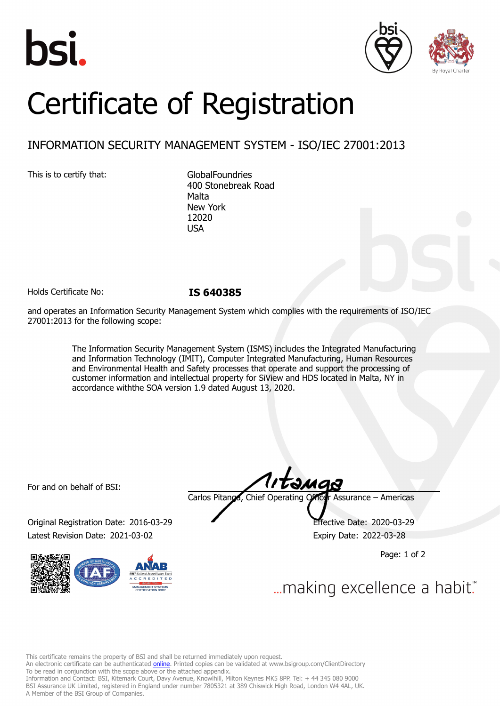





# Certificate of Registration

## INFORMATION SECURITY MANAGEMENT SYSTEM - ISO/IEC 27001:2013

This is to certify that: GlobalFoundries

400 Stonebreak Road Malta New York 12020 USA

Holds Certificate No: **IS 640385**

and operates an Information Security Management System which complies with the requirements of ISO/IEC 27001:2013 for the following scope:

> The Information Security Management System (ISMS) includes the Integrated Manufacturing and Information Technology (IMIT), Computer Integrated Manufacturing, Human Resources and Environmental Health and Safety processes that operate and support the processing of customer information and intellectual property for SiView and HDS located in Malta, NY in accordance withthe SOA version 1.9 dated August 13, 2020.

For and on behalf of BSI:

Original Registration Date: 2016-03-29 Effective Date: 2020-03-29 Latest Revision Date: 2021-03-02 **Expiry Date: 2022-03-28** 



tamas Carlos Pitanga, Chief Operating Officer Assurance – Americas

Page: 1 of 2

... making excellence a habit."

This certificate remains the property of BSI and shall be returned immediately upon request.

An electronic certificate can be authenticated *[online](https://pgplus.bsigroup.com/CertificateValidation/CertificateValidator.aspx?CertificateNumber=IS+640385&ReIssueDate=02%2f03%2f2021&Template=inc)*. Printed copies can be validated at www.bsigroup.com/ClientDirectory To be read in conjunction with the scope above or the attached appendix.

Information and Contact: BSI, Kitemark Court, Davy Avenue, Knowlhill, Milton Keynes MK5 8PP. Tel: + 44 345 080 9000 BSI Assurance UK Limited, registered in England under number 7805321 at 389 Chiswick High Road, London W4 4AL, UK. A Member of the BSI Group of Companies.